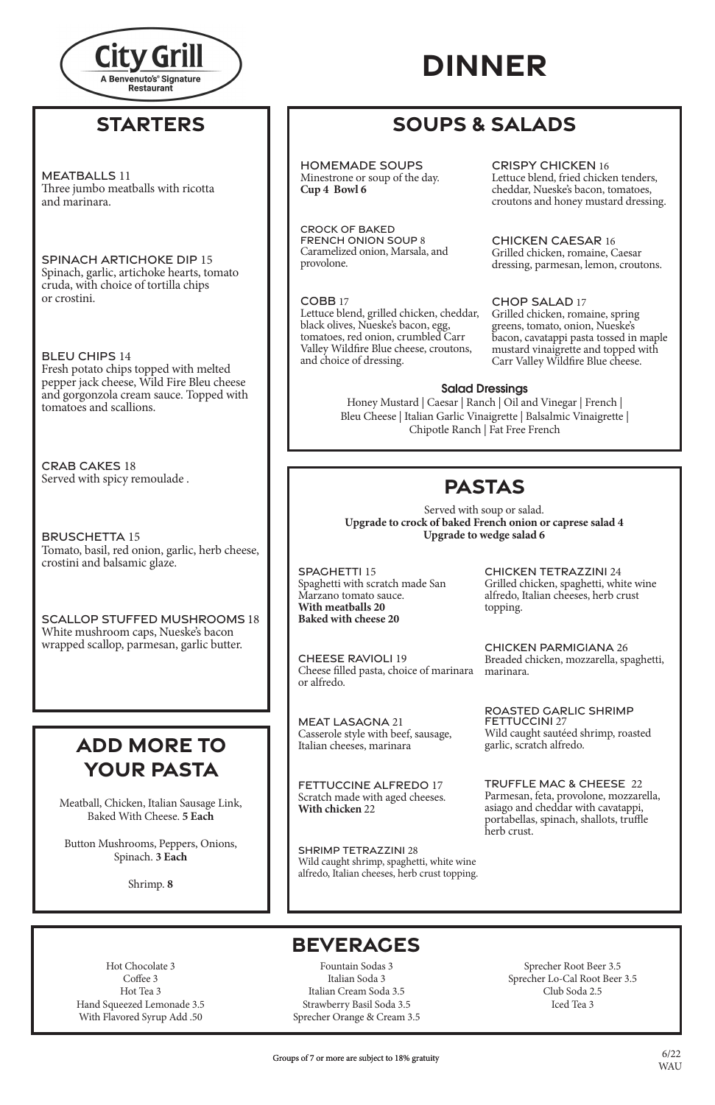#### **PASTAS PASTAS** Served with soup or salad.

### **BEVERAGES**

Hot Chocolate 3 Coffee 3 Hot Tea 3 Hand Squeezed Lemonade 3.5 With Flavored Syrup Add .50

Fountain Sodas 3 Italian Soda 3 Italian Cream Soda 3.5 Strawberry Basil Soda 3.5 Sprecher Orange & Cream 3.5

Sprecher Root Beer 3.5 Sprecher Lo-Cal Root Beer 3.5 Club Soda 2.5 Iced Tea 3

# **DINNER**

Meatball, Chicken, Italian Sausage Link,

Baked With Cheese. **5 Each**

Button Mushrooms, Peppers, Onions, Spinach. **3 Each**

Shrimp. **8**



## **STARTERS**

## **SOUPS & SALADS**

Served with soup or salad. Upgrade to crock of baked French onion or caprese salad 4 SHRIMP TETRAZZINI 28 **Upgrade to wedge salad 6**

SPAGHETTI 15 **With meators**<br>Speakatti with ecr **With meatballs 20 EXAMPLE PRODUCED Baked with cheese 20** spachetti 15<br>Spachetti with scratch made San<br>Spaghetti with scratch mede San Spaghetti with scratch made San  $\sum_{i=1}^{n}$ Marzano tomato sauce.

CHEESE RAVIOLI 19 CHELSE NAVIOLITY Cheese inieu pasta, choi UTEESE RAVIULI<br>Chaasa filled nasta ek Cheese filled pasta, choice of marinara marinara. or alfredo.

 $\mathbf{M}$ E $\mathbf{A}$ TI  $\mathbf{A}$ C $\mathbf{A}$ C $\mathbf{N}$ I $\mathbf{A}$  21 **MEAL LASAC** Calumbus Griech 26  $MFATLACACHA 21$ MEAT LASAGNA 21 Casserole style with beef, sausage, Italian cheeses, marinara

SHRINE TETRAZZINI 28<br>Wild caught shrimp, spaghetti, white wine Wild caught shrimp, spagnetti, while will alfredo, Italian cheeses, herb crust t what caught surfully, spagneture alfredo, Italian cheeses, herb crust topping. SHRIMP TETRAZZINI 28

 $\sim$ <br>CHICKEN TETRAZZINI 24 alfredo, Italian cheeses, herb crust<br>topping. topping.  $\frac{1}{2}$ Grilled chicken, spaghetti, white wine

CHICKEN PARMIGIANA 26 CHICKEN PARTIMORIVA 20 CHICKEN PARMIGIANA 26<br>Breaded chicken, mozzarella, spaghetti,<br>marinare

BOASTED CABLIC SHBIMB marinara. FETTUCCINI 27 garlic, scratch alfredo.<br>TRUJEELE MAG 8. GHEESE. 33 FETTUCK IN 1979 ROASTED GARLIC SHRIMP<br>EETTIJCCINL27 Wild caught sautéed shrimp, roasted

TRUFFLE MAC & CHEESE 22 asiago and cheddar with cavatappi, Parmesan, feta, provolone, mozzarella,

portabellas, spinach, shallots, truffle and cheddar with cheddar with cavalance with cavalance below the cavalance of the cavalance of the control of the control of the control of the control of the control of the control of the control of the control of the con  $\frac{1}{2}$ shallots, true  $\frac{1}{2}$ asiago and cheddar with cavatappi,<br>portabellas, spinach, shallots, truffle<br>herb crust. portabellas, spinach, shallots, truffle herb crust.

#### $T$ The  $\epsilon$  is and mathematic with ricotta and mathematic  $\epsilon$ MEATBALLS 11 Three jumbo meatballs with ricotta and marinara.

red cream sauce, cavatappi. Grilled chicken, andouille sausage, spicy Scrutch mude with aged eneer  $\frac{1}{2}$ FETTUCCINE ALFREDO 17 **With chicken 22** Scratch made with aged cheeses.

cruda, with choice of tortilla chips<br>or crostini or crostini.  $\mathcal{F}$  crossing, with an extension personal personal personal personal personal personal personal personal personal personal personal personal personal personal personal personal personal personal personal personal pers SPINACH ARTICHOKE DIP 15 Spinach, garlic, artichoke hearts, tomato

SLLU CHIFS 17.<br>Erech noteto chine tor Fresh potato chips topped with melted<br>names is als shases. Wild Fine Play shase BLEU CHIPS 14 pepper jack cheese, Wild Fire Bleu cheese and gorgonzola cream sauce. Topped with tomatoes and scallions.

 $\overline{\phantom{a}}$ CRAB CAKES 18 Served with spicy remoulade .

BRUSCHETTA 15 crostini and balsamic glaze. Tomato, basil, red onion, garlic, herb cheese,

White mushroom caps, Nueske's bacon wrapped scallop, parmesan, garlic butter. SCALLOP STUFFED MUSHROOMS 18

Saleu Cheese | Italian Garlic Vinaigrette | Balsalmic Vinaigrette |  $\overline{C}$  Chinotle Ranch | Eat Free French |  $\overline{C}$ Chipotle Ranch | Fat Free French Wildfire Blue cheese, croutons, and choice of dressing. Honey Mustard | Caesar | Ranch | Oil and Vinegar | French |

 $HOMFMADF$  coupe HOMEMADE SOUPS  $\mathcal{L}_{\mathbf{r}}$  is some Minestrone or soup of the day. **Cup 4 Bowl 6** 

COBB 17 Lettuce blend, grilled chicken, cheddar, tomatoes, basil, olive oil, balsamic glaze. black olives, Nueske's bacon, egg, Valley Wildfire Blue cheese, croutons, and choice of dressing. tomatoes, red onion, crumbled Carr

## **ADD MORE TO ADD MORE TO YOUR PASTA YOUR PASTA**

Lettuce blend, fried chicken tenders, CRISPY CHICKEN 16 Lettuce blend, fried chicken tenders, croutons and honey mustard dressing. cheddar, Nueske's bacon, tomatoes,

parmesan, lemon, croutons. SITHEW CHICKEN, IT<br>dressing narmesa dressing, parmesan, lemon, croutons. CHICKEN CAESAR 16 Grilled chicken, romaine, Caesar

bacon, black bean and corn relish, tortilla CHOP SALAD 17 greens, tomato, omon, ivueskes<br>bacon, cavatappi pasta tossed in maple pacon, cavalappi pasia tosseu in ma mustard vinaigrette and topped with<br>Carry Valley Wildfan Blue desegr Carr Valley Wildfire Blue cheese. Grilled chicken, romaine, spring greens, tomato, onion, Nueske's

### **tomatoes, red only Salad Dressings**

**Cup 4 Bowl 6**  Caramelized onion, Marsala, and provolone. Caramelized onion, Marsala, and provolone. CROCK OF BAKED FRENCH ONION SOUP 8